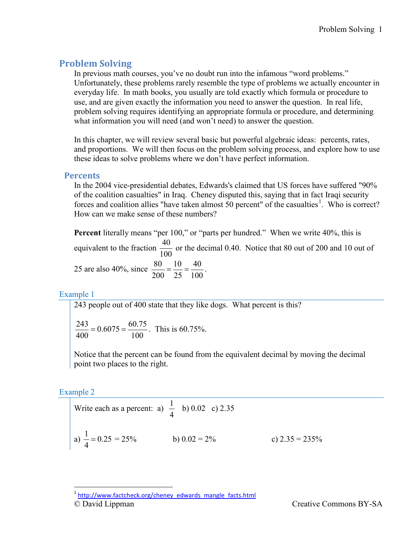# **Problem Solving**

In previous math courses, you've no doubt run into the infamous "word problems." Unfortunately, these problems rarely resemble the type of problems we actually encounter in everyday life. In math books, you usually are told exactly which formula or procedure to use, and are given exactly the information you need to answer the question. In real life, problem solving requires identifying an appropriate formula or procedure, and determining what information you will need (and won't need) to answer the question.

In this chapter, we will review several basic but powerful algebraic ideas: percents, rates, and proportions. We will then focus on the problem solving process, and explore how to use these ideas to solve problems where we don't have perfect information.

# **Percents**

In the 2004 vice-presidential debates, Edwards's claimed that US forces have suffered "90% of the coalition casualties" in Iraq. Cheney disputed this, saying that in fact Iraqi security forces and coalition allies "have taken almost  $50$  percent" of the casualties<sup>[1](#page-0-0)</sup>. Who is correct? How can we make sense of these numbers?

**Percent** literally means "per 100," or "parts per hundred." When we write 40%, this is equivalent to the fraction  $\frac{40}{100}$ 100 or the decimal 0.40. Notice that 80 out of 200 and 10 out of 25 are also 40%, since  $\frac{80}{200} = \frac{10}{25} = \frac{40}{100}$ .

Example 1

243 people out of 400 state that they like dogs. What percent is this?

 $\frac{243}{400}$  = 0.6075 =  $\frac{60.75}{100}$ . This is 60.75%.

Notice that the percent can be found from the equivalent decimal by moving the decimal point two places to the right.

# Example 2

Write each as a percent: a) 
$$
\frac{1}{4}
$$
 b) 0.02 c) 2.35  
a)  $\frac{1}{4} = 0.25 = 25\%$  b) 0.02 = 2% c) 2.35 = 235%

<span id="page-0-0"></span><sup>©</sup> David Lippman Creative Commons BY-SA <sup>1</sup> [http://www.factcheck.org/cheney\\_edwards\\_mangle\\_facts.html](http://www.factcheck.org/cheney_edwards_mangle_facts.html)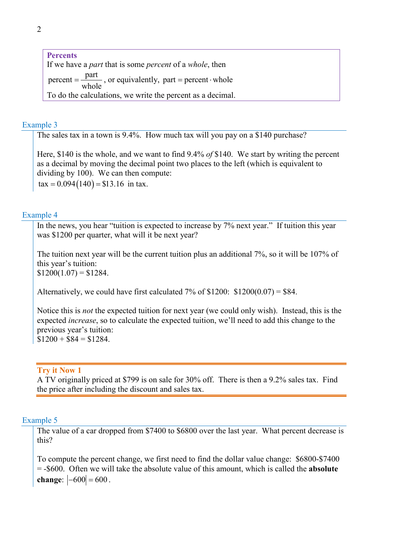**Percents** If we have a *part* that is some *percent* of a *whole*, then percent =  $\frac{\text{part}}{\text{1}}$ , or equivalently, part = percent whole To do the calculations, we write the percent as a decimal.

#### Example 3

The sales tax in a town is 9.4%. How much tax will you pay on a \$140 purchase?

Here, \$140 is the whole, and we want to find 9.4% *of* \$140. We start by writing the percent as a decimal by moving the decimal point two places to the left (which is equivalent to dividing by 100). We can then compute:  $\text{tax} = 0.094(140) = $13.16$  in tax.

#### Example 4

In the news, you hear "tuition is expected to increase by 7% next year." If tuition this year was \$1200 per quarter, what will it be next year?

The tuition next year will be the current tuition plus an additional 7%, so it will be 107% of this year's tuition:  $$1200(1.07) = $1284.$ 

Alternatively, we could have first calculated 7% of  $$1200: $1200(0.07) = $84$ .

Notice this is *not* the expected tuition for next year (we could only wish). Instead, this is the expected *increase*, so to calculate the expected tuition, we'll need to add this change to the previous year's tuition:  $$1200 + $84 = $1284.$ 

#### **Try it Now 1**

A TV originally priced at \$799 is on sale for 30% off. There is then a 9.2% sales tax. Find the price after including the discount and sales tax.

#### Example 5

The value of a car dropped from \$7400 to \$6800 over the last year. What percent decrease is this?

To compute the percent change, we first need to find the dollar value change: \$6800-\$7400 = -\$600. Often we will take the absolute value of this amount, which is called the **absolute change**:  $|-600| = 600$ .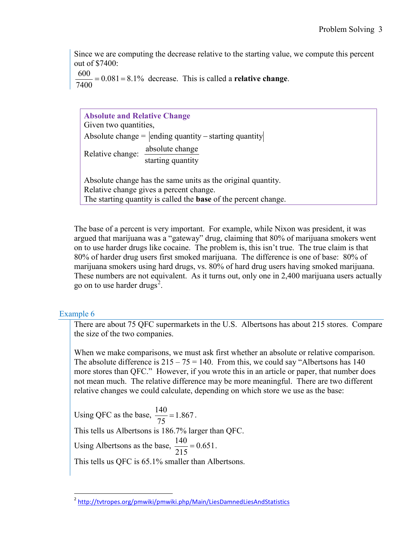Since we are computing the decrease relative to the starting value, we compute this percent out of \$7400:

 $\frac{600}{7400}$  = 0.081 = 8.1% decrease. This is called a **relative change**.

| <b>Absolute and Relative Change</b><br>Given two quantities,                                                                                                                      |  |  |  |  |  |
|-----------------------------------------------------------------------------------------------------------------------------------------------------------------------------------|--|--|--|--|--|
| Absolute change = $ $ ending quantity – starting quantity                                                                                                                         |  |  |  |  |  |
| absolute change<br>Relative change:<br>starting quantity                                                                                                                          |  |  |  |  |  |
| Absolute change has the same units as the original quantity.<br>Relative change gives a percent change.<br>The starting quantity is called the <b>base</b> of the percent change. |  |  |  |  |  |

The base of a percent is very important. For example, while Nixon was president, it was argued that marijuana was a "gateway" drug, claiming that 80% of marijuana smokers went on to use harder drugs like cocaine. The problem is, this isn't true. The true claim is that 80% of harder drug users first smoked marijuana. The difference is one of base: 80% of marijuana smokers using hard drugs, vs. 80% of hard drug users having smoked marijuana. These numbers are not equivalent. As it turns out, only one in 2,400 marijuana users actually go on to use harder drugs<sup>[2](#page-2-0)</sup>.

# Example 6

There are about 75 QFC supermarkets in the U.S. Albertsons has about 215 stores. Compare the size of the two companies.

When we make comparisons, we must ask first whether an absolute or relative comparison. The absolute difference is  $215 - 75 = 140$ . From this, we could say "Albertsons has 140 more stores than QFC." However, if you wrote this in an article or paper, that number does not mean much. The relative difference may be more meaningful. There are two different relative changes we could calculate, depending on which store we use as the base:

Using QFC as the base,  $\frac{140}{75}$  = 1.867. This tells us Albertsons is 186.7% larger than QFC. Using Albertsons as the base,  $\frac{140}{215} = 0.651$ . This tells us QFC is 65.1% smaller than Albertsons.

<span id="page-2-0"></span><sup>&</sup>lt;sup>2</sup> <http://tvtropes.org/pmwiki/pmwiki.php/Main/LiesDamnedLiesAndStatistics>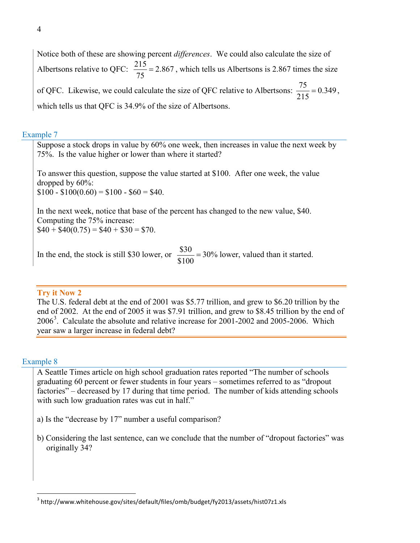Notice both of these are showing percent *differences*. We could also calculate the size of Albertsons relative to QFC:  $\frac{215}{75}$  = 2.867, which tells us Albertsons is 2.867 times the size of QFC. Likewise, we could calculate the size of QFC relative to Albertsons:  $\frac{75}{215} = 0.349$ , which tells us that QFC is 34.9% of the size of Albertsons.

## Example 7

Suppose a stock drops in value by 60% one week, then increases in value the next week by 75%. Is the value higher or lower than where it started?

To answer this question, suppose the value started at \$100. After one week, the value dropped by 60%:  $$100 - $100(0.60) = $100 - $60 = $40.$ 

In the next week, notice that base of the percent has changed to the new value, \$40. Computing the 75% increase:  $$40 + $40(0.75) = $40 + $30 = $70.$ 

In the end, the stock is still \$30 lower, or  $\frac{$30}{\$100} = 30\%$  lower, valued than it started.

#### **Try it Now 2**

The U.S. federal debt at the end of 2001 was \$5.77 trillion, and grew to \$6.20 trillion by the end of 2002. At the end of 2005 it was \$7.91 trillion, and grew to \$8.45 trillion by the end of  $2006<sup>3</sup>$  $2006<sup>3</sup>$  $2006<sup>3</sup>$ . Calculate the absolute and relative increase for 2001-2002 and 2005-2006. Which year saw a larger increase in federal debt?

#### Example 8

A Seattle Times article on high school graduation rates reported "The number of schools graduating 60 percent or fewer students in four years – sometimes referred to as "dropout factories" – decreased by 17 during that time period. The number of kids attending schools with such low graduation rates was cut in half."

- a) Is the "decrease by 17" number a useful comparison?
- b) Considering the last sentence, can we conclude that the number of "dropout factories" was originally 34?

<span id="page-3-0"></span><sup>&</sup>lt;sup>3</sup> http://www.whitehouse.gov/sites/default/files/omb/budget/fy2013/assets/hist07z1.xls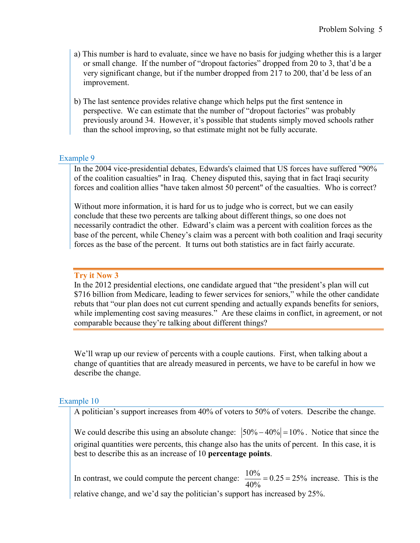- a) This number is hard to evaluate, since we have no basis for judging whether this is a larger or small change. If the number of "dropout factories" dropped from 20 to 3, that'd be a very significant change, but if the number dropped from 217 to 200, that'd be less of an improvement.
- b) The last sentence provides relative change which helps put the first sentence in perspective. We can estimate that the number of "dropout factories" was probably previously around 34. However, it's possible that students simply moved schools rather than the school improving, so that estimate might not be fully accurate.

## Example 9

In the 2004 vice-presidential debates, Edwards's claimed that US forces have suffered "90% of the coalition casualties" in Iraq. Cheney disputed this, saying that in fact Iraqi security forces and coalition allies "have taken almost 50 percent" of the casualties. Who is correct?

Without more information, it is hard for us to judge who is correct, but we can easily conclude that these two percents are talking about different things, so one does not necessarily contradict the other. Edward's claim was a percent with coalition forces as the base of the percent, while Cheney's claim was a percent with both coalition and Iraqi security forces as the base of the percent. It turns out both statistics are in fact fairly accurate.

## **Try it Now 3**

In the 2012 presidential elections, one candidate argued that "the president's plan will cut \$716 billion from Medicare, leading to fewer services for seniors," while the other candidate rebuts that "our plan does not cut current spending and actually expands benefits for seniors, while implementing cost saving measures." Are these claims in conflict, in agreement, or not comparable because they're talking about different things?

We'll wrap up our review of percents with a couple cautions. First, when talking about a change of quantities that are already measured in percents, we have to be careful in how we describe the change.

# Example 10

A politician's support increases from 40% of voters to 50% of voters. Describe the change.

We could describe this using an absolute change:  $|50\% - 40\%| = 10\%$ . Notice that since the original quantities were percents, this change also has the units of percent. In this case, it is best to describe this as an increase of 10 **percentage points**.

In contrast, we could compute the percent change:  $\frac{10\%}{40\%} = 0.25 = 25\%$  increase. This is the relative change, and we'd say the politician's support has increased by 25%.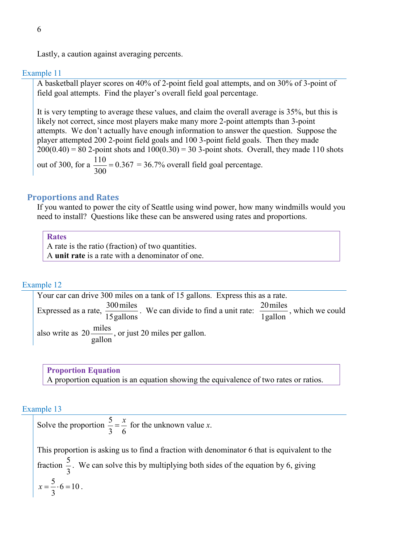Lastly, a caution against averaging percents.

#### Example 11

A basketball player scores on 40% of 2-point field goal attempts, and on 30% of 3-point of field goal attempts. Find the player's overall field goal percentage.

It is very tempting to average these values, and claim the overall average is 35%, but this is likely not correct, since most players make many more 2-point attempts than 3-point attempts. We don't actually have enough information to answer the question. Suppose the player attempted 200 2-point field goals and 100 3-point field goals. Then they made  $200(0.40) = 80$  2-point shots and  $100(0.30) = 30$  3-point shots. Overall, they made 110 shots out of 300, for a  $\frac{110}{300} = 0.367 = 36.7\%$  overall field goal percentage.

#### **Proportions and Rates**

If you wanted to power the city of Seattle using wind power, how many windmills would you need to install? Questions like these can be answered using rates and proportions.

**Rates**

A rate is the ratio (fraction) of two quantities. A **unit rate** is a rate with a denominator of one.

#### Example 12

Your car can drive 300 miles on a tank of 15 gallons. Express this as a rate. Expressed as a rate,  $\frac{300 \text{ miles}}{15 \text{ gallons}}$ . We can divide to find a unit rate: 1gallon  $\frac{20 \text{ miles}}{1 \text{ m/s}}$ , which we could also write as gallon  $20 \frac{\text{miles}}{\text{m}}$ , or just 20 miles per gallon.

**Proportion Equation** A proportion equation is an equation showing the equivalence of two rates or ratios.

#### Example 13

Solve the proportion  $\frac{5}{3}$ 3 6  $=\frac{x}{6}$  for the unknown value *x*.

This proportion is asking us to find a fraction with denominator 6 that is equivalent to the fraction  $\frac{5}{3}$ 3 . We can solve this by multiplying both sides of the equation by 6, giving  $\frac{5}{2} \cdot 6 = 10$ 3  $x = \frac{3}{2} \cdot 6 = 10$ .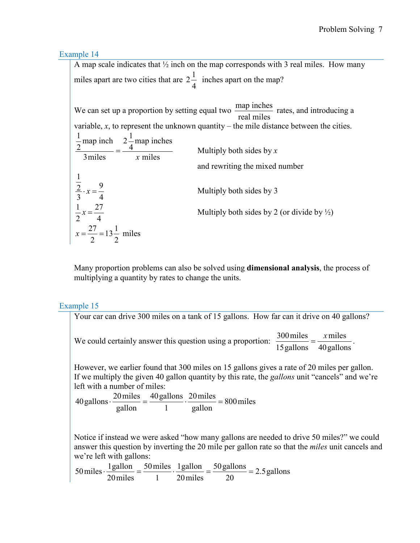Example 14

A map scale indicates that  $\frac{1}{2}$  inch on the map corresponds with 3 real miles. How many miles apart are two cities that are  $2\frac{1}{4}$ 4 inches apart on the map?

We can set up a proportion by setting equal two  $\frac{\text{map inches}}{\text{real miles}}$  rates, and introducing a variable,  $x$ , to represent the unknown quantity – the mile distance between the cities. miles map inches 4  $2\frac{1}{4}$ 3miles map inch 2 1  $=\frac{4}{x \text{ miles}}$  Multiply both sides by *x* and rewriting the mixed number 1  $\overline{2}$ .  $x = \frac{9}{5}$ 3 4 Multiply both sides by 3  $1 \t 27$ 2 4 Multiply both sides by 2 (or divide by  $\frac{1}{2}$ )  $\frac{27}{2}$  = 13 $\frac{1}{3}$ 2 2  $x = \frac{27}{2} = 13 \frac{1}{2}$  miles

Many proportion problems can also be solved using **dimensional analysis**, the process of multiplying a quantity by rates to change the units.

Example 15

Your car can drive 300 miles on a tank of 15 gallons. How far can it drive on 40 gallons? We could certainly answer this question using a proportion:  $\frac{300 \text{ miles}}{15 \text{ gallons}} = \frac{x \text{ miles}}{40 \text{ gallons}}$ 15gallons  $\frac{300 \text{ miles}}{25 \times 10^{-11}} = \frac{x \text{ miles}}{10 \times 10^{-11}}.$ However, we earlier found that 300 miles on 15 gallons gives a rate of 20 miles per gallon. If we multiply the given 40 gallon quantity by this rate, the *gallons* unit "cancels" and we're left with a number of miles: 800miles gallon 20miles 1 40gallons gallon  $40$  gallons  $\cdot \frac{20 \text{ miles}}{40 \text{ gallons}} = \frac{40 \text{ gallons}}{40 \text{ miles}} \cdot \frac{20 \text{ miles}}{40 \text{ miles}} =$ Notice if instead we were asked "how many gallons are needed to drive 50 miles?" we could answer this question by inverting the 20 mile per gallon rate so that the *miles* unit cancels and we're left with gallons:  $\frac{50 \text{ gallons}}{20}$  = 2.5 gallons 20miles 1gallon 1 50miles 20miles  $1\text{gallon} = \frac{50 \text{ miles}}{1\text{gallon}} \cdot \frac{1\text{gallon}}{1\text{golen}} = \frac{50 \text{gallons}}{1\text{golar}} =$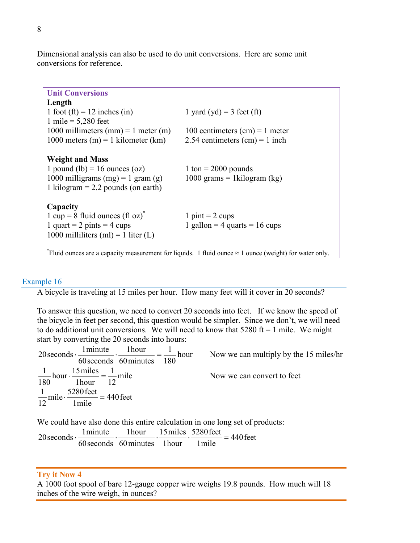Dimensional analysis can also be used to do unit conversions. Here are some unit conversions for reference.

| <b>Unit Conversions</b>                                                                                        |                                  |  |  |  |
|----------------------------------------------------------------------------------------------------------------|----------------------------------|--|--|--|
| Length                                                                                                         |                                  |  |  |  |
| 1 foot (ft) = 12 inches (in)                                                                                   | 1 yard (yd) = 3 feet (ft)        |  |  |  |
| 1 mile = $5,280$ feet                                                                                          |                                  |  |  |  |
| 1000 millimeters (mm) = 1 meter (m)                                                                            | 100 centimeters $(cm) = 1$ meter |  |  |  |
| 1000 meters (m) = 1 kilometer (km)                                                                             | 2.54 centimeters $(cm) = 1$ inch |  |  |  |
|                                                                                                                |                                  |  |  |  |
| <b>Weight and Mass</b>                                                                                         |                                  |  |  |  |
| 1 pound (lb) = 16 ounces (oz)                                                                                  | 1 ton = $2000$ pounds            |  |  |  |
| 1000 milligrams (mg) = 1 gram (g)                                                                              | 1000 grams = 1 $kilogram$ (kg)   |  |  |  |
| 1 kilogram = $2.2$ pounds (on earth)                                                                           |                                  |  |  |  |
|                                                                                                                |                                  |  |  |  |
| Capacity                                                                                                       |                                  |  |  |  |
| 1 cup = 8 fluid ounces (fl oz) <sup>*</sup>                                                                    | 1 pint = $2 \text{ cups}$        |  |  |  |
| 1 quart = 2 pints = 4 cups                                                                                     | 1 gallon = 4 quarts = 16 cups    |  |  |  |
| 1000 milliliters (ml) = 1 liter (L)                                                                            |                                  |  |  |  |
|                                                                                                                |                                  |  |  |  |
| *Fluid ounces are a capacity measurement for liquids. 1 fluid ounce $\approx 1$ ounce (weight) for water only. |                                  |  |  |  |

# Example 16

A bicycle is traveling at 15 miles per hour. How many feet will it cover in 20 seconds?

To answer this question, we need to convert 20 seconds into feet. If we know the speed of the bicycle in feet per second, this question would be simpler. Since we don't, we will need to do additional unit conversions. We will need to know that  $5280 \text{ ft} = 1 \text{ mile}$ . We might start by converting the 20 seconds into hours:

hour 180 1 60minutes 1hour 60seconds 20 seconds  $\cdot \frac{1 \text{ minute}}{60} \cdot \frac{1 \text{ hour}}{100} = \frac{1}{100}$  hour Now we can multiply by the 15 miles/hr mile 12 1 1hour hour  $\cdot \frac{15 \text{ miles}}{11}$ 180  $\frac{1}{10}$  hour  $\cdot \frac{15 \text{ miles}}{11} = \frac{1}{12}$  mile Now we can convert to feet 440feet 1mile mile  $\cdot \frac{5280 \text{ feet}}{1}$ 12  $\frac{1}{2}$  mile  $\cdot \frac{5280 \text{ feet}}{1}$  = We could have also done this entire calculation in one long set of products: 20 seconds  $\cdot \frac{1 \text{ minute}}{60} \cdot \frac{1 \text{ hour}}{11 \text{ hours}} \cdot \frac{15 \text{ miles}}{11 \text{ hours}} \cdot \frac{5280 \text{ feet}}{11 \text{ hours}} = 440 \text{ feet}$ 1mile 60 seconds 60 minutes 1 hour

# **Try it Now 4**

A 1000 foot spool of bare 12-gauge copper wire weighs 19.8 pounds. How much will 18 inches of the wire weigh, in ounces?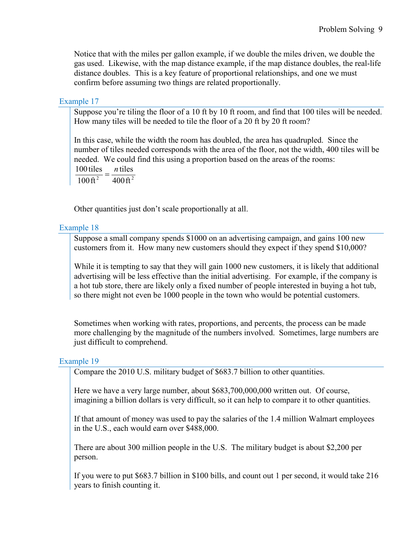Notice that with the miles per gallon example, if we double the miles driven, we double the gas used. Likewise, with the map distance example, if the map distance doubles, the real-life distance doubles. This is a key feature of proportional relationships, and one we must confirm before assuming two things are related proportionally.

## Example 17

Suppose you're tiling the floor of a 10 ft by 10 ft room, and find that 100 tiles will be needed. How many tiles will be needed to tile the floor of a 20 ft by 20 ft room?

In this case, while the width the room has doubled, the area has quadrupled. Since the number of tiles needed corresponds with the area of the floor, not the width, 400 tiles will be needed. We could find this using a proportion based on the areas of the rooms: tiles  $\frac{100 \text{ tiles}}{n} = \frac{n}{n}$ 

<sup>2</sup> 400 ft<sup>2</sup> 100ft

Other quantities just don't scale proportionally at all.

#### Example 18

Suppose a small company spends \$1000 on an advertising campaign, and gains 100 new customers from it. How many new customers should they expect if they spend \$10,000?

While it is tempting to say that they will gain 1000 new customers, it is likely that additional advertising will be less effective than the initial advertising. For example, if the company is a hot tub store, there are likely only a fixed number of people interested in buying a hot tub, so there might not even be 1000 people in the town who would be potential customers.

Sometimes when working with rates, proportions, and percents, the process can be made more challenging by the magnitude of the numbers involved. Sometimes, large numbers are just difficult to comprehend.

#### Example 19

Compare the 2010 U.S. military budget of \$683.7 billion to other quantities.

Here we have a very large number, about \$683,700,000,000 written out. Of course, imagining a billion dollars is very difficult, so it can help to compare it to other quantities.

If that amount of money was used to pay the salaries of the 1.4 million Walmart employees in the U.S., each would earn over \$488,000.

There are about 300 million people in the U.S. The military budget is about \$2,200 per person.

If you were to put \$683.7 billion in \$100 bills, and count out 1 per second, it would take 216 years to finish counting it.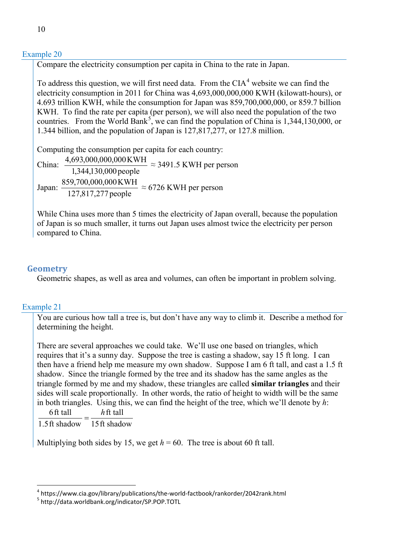## Example 20

Compare the electricity consumption per capita in China to the rate in Japan.

To address this question, we will first need data. From the  $CIA<sup>4</sup>$  $CIA<sup>4</sup>$  $CIA<sup>4</sup>$  website we can find the electricity consumption in 2011 for China was 4,693,000,000,000 KWH (kilowatt-hours), or 4.693 trillion KWH, while the consumption for Japan was 859,700,000,000, or 859.7 billion KWH. To find the rate per capita (per person), we will also need the population of the two countries. From the World Bank<sup>[5](#page-9-1)</sup>, we can find the population of China is  $1,344,130,000$ , or 1.344 billion, and the population of Japan is 127,817,277, or 127.8 million.

Computing the consumption per capita for each country:

China: 1,344,130,000people  $\frac{4,693,000,000,000 \text{ KWH}}{3,344438,8888 \text{ KWH}} \approx 3491.5 \text{ KWH per person}$ Japan:  $\frac{859,700,000,000KWH}{127,817,277}$  people  $\approx$  6726 KWH per person

While China uses more than 5 times the electricity of Japan overall, because the population of Japan is so much smaller, it turns out Japan uses almost twice the electricity per person compared to China.

# **Geometry**

Geometric shapes, as well as area and volumes, can often be important in problem solving.

# Example 21

You are curious how tall a tree is, but don't have any way to climb it. Describe a method for determining the height.

There are several approaches we could take. We'll use one based on triangles, which requires that it's a sunny day. Suppose the tree is casting a shadow, say 15 ft long. I can then have a friend help me measure my own shadow. Suppose I am 6 ft tall, and cast a 1.5 ft shadow. Since the triangle formed by the tree and its shadow has the same angles as the triangle formed by me and my shadow, these triangles are called **similar triangles** and their sides will scale proportionally. In other words, the ratio of height to width will be the same in both triangles. Using this, we can find the height of the tree, which we'll denote by *h*:

 $h$  ft tall  $\frac{6 \text{ ft tall}}{2 \cdot h} = \frac{h}{h}$ 

15ft shadow 1.5ft shadow

Multiplying both sides by 15, we get  $h = 60$ . The tree is about 60 ft tall.

<span id="page-9-1"></span><span id="page-9-0"></span> $^4$  https://www.cia.gov/library/publications/the-world-factbook/rankorder/2042rank.html<br> $^5$  http://data.worldbank.org/indicator/SP.POP.TOTL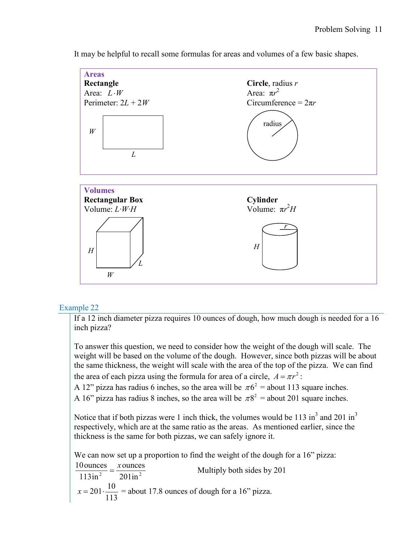

It may be helpful to recall some formulas for areas and volumes of a few basic shapes.

# Example 22

If a 12 inch diameter pizza requires 10 ounces of dough, how much dough is needed for a 16 inch pizza?

To answer this question, we need to consider how the weight of the dough will scale. The weight will be based on the volume of the dough. However, since both pizzas will be about the same thickness, the weight will scale with the area of the top of the pizza. We can find the area of each pizza using the formula for area of a circle,  $A = \pi r^2$ :

A 12" pizza has radius 6 inches, so the area will be  $\pi 6^2$  = about 113 square inches.

A 16" pizza has radius 8 inches, so the area will be  $\pi 8^2$  = about 201 square inches.

Notice that if both pizzas were 1 inch thick, the volumes would be 113 in<sup>3</sup> and 201 in<sup>3</sup> respectively, which are at the same ratio as the areas. As mentioned earlier, since the thickness is the same for both pizzas, we can safely ignore it.

We can now set up a proportion to find the weight of the dough for a 16" pizza:

<sup>2</sup> 201 in<sup>2</sup> ounces 113in  $\frac{10 \text{ ounces}}{1400 \times 10^{-3}} = \frac{x \text{ ounces}}{200 \times 10^{-3}}$  Multiply both sides by 201  $201 \cdot \frac{10}{116}$ 113  $x = 201 \cdot \frac{10}{112}$  = about 17.8 ounces of dough for a 16" pizza.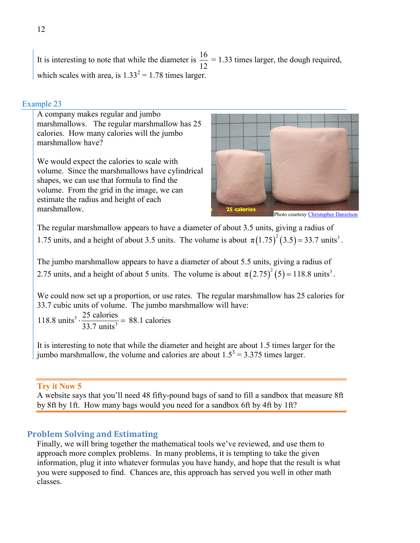It is interesting to note that while the diameter is  $\frac{16}{12} = 1.33$  times larger, the dough required, which scales with area, is  $1.33^2 = 1.78$  times larger.

## Example 23

A company makes regular and jumbo marshmallows. The regular marshmallow has 25 calories. How many calories will the jumbo marshmallow have?

We would expect the calories to scale with volume. Since the marshmallows have cylindrical shapes, we can use that formula to find the volume. From the grid in the image, we can estimate the radius and height of each marshmallow.



Photo courtes[y Christopher Danielson](http://christopherdanielson.wordpress.com/)

The regular marshmallow appears to have a diameter of about 3.5 units, giving a radius of 1.75 units, and a height of about 3.5 units. The volume is about  $\pi (1.75)^2 (3.5) = 33.7$  units<sup>3</sup>.

The jumbo marshmallow appears to have a diameter of about 5.5 units, giving a radius of 2.75 units, and a height of about 5 units. The volume is about  $\pi (2.75)^2 (5) = 118.8$  units<sup>3</sup>.

We could now set up a proportion, or use rates. The regular marshmallow has 25 calories for 33.7 cubic units of volume. The jumbo marshmallow will have:

3 118.8 units<sup>3</sup>  $\cdot \frac{25 \text{ calories}}{33.7 \text{ units}^3} = 88.1 \text{ calories}$ 

It is interesting to note that while the diameter and height are about 1.5 times larger for the jumbo marshmallow, the volume and calories are about  $1.5^3 = 3.375$  times larger.

#### **Try it Now 5**

A website says that you'll need 48 fifty-pound bags of sand to fill a sandbox that measure 8ft by 8ft by 1ft. How many bags would you need for a sandbox 6ft by 4ft by 1ft?

# **Problem Solving and Estimating**

Finally, we will bring together the mathematical tools we've reviewed, and use them to approach more complex problems. In many problems, it is tempting to take the given information, plug it into whatever formulas you have handy, and hope that the result is what you were supposed to find. Chances are, this approach has served you well in other math classes.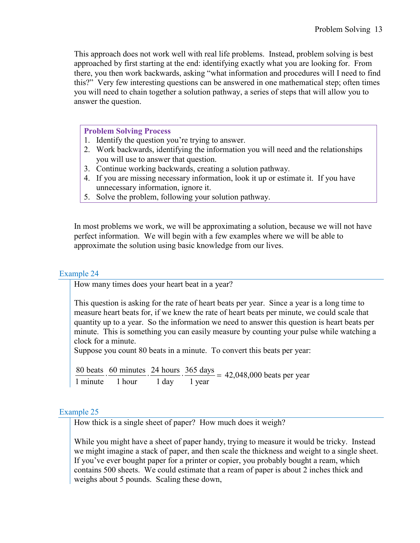This approach does not work well with real life problems. Instead, problem solving is best approached by first starting at the end: identifying exactly what you are looking for. From there, you then work backwards, asking "what information and procedures will I need to find this?" Very few interesting questions can be answered in one mathematical step; often times you will need to chain together a solution pathway, a series of steps that will allow you to answer the question.

#### **Problem Solving Process**

- 1. Identify the question you're trying to answer.
- 2. Work backwards, identifying the information you will need and the relationships you will use to answer that question.
- 3. Continue working backwards, creating a solution pathway.
- 4. If you are missing necessary information, look it up or estimate it. If you have unnecessary information, ignore it.
- 5. Solve the problem, following your solution pathway.

In most problems we work, we will be approximating a solution, because we will not have perfect information. We will begin with a few examples where we will be able to approximate the solution using basic knowledge from our lives.

#### Example 24

How many times does your heart beat in a year?

This question is asking for the rate of heart beats per year. Since a year is a long time to measure heart beats for, if we knew the rate of heart beats per minute, we could scale that quantity up to a year. So the information we need to answer this question is heart beats per minute. This is something you can easily measure by counting your pulse while watching a clock for a minute.

Suppose you count 80 beats in a minute. To convert this beats per year:

 $\frac{80 \text{ beats}}{1 \text{ minute}} \cdot \frac{60 \text{ minutes}}{1 \text{ hour}} \cdot \frac{24 \text{ hours}}{1 \text{ day}} \cdot \frac{365 \text{ days}}{1 \text{ year}} = 42,048,000 \text{ beats per year}}$ 

#### Example 25

How thick is a single sheet of paper? How much does it weigh?

While you might have a sheet of paper handy, trying to measure it would be tricky. Instead we might imagine a stack of paper, and then scale the thickness and weight to a single sheet. If you've ever bought paper for a printer or copier, you probably bought a ream, which contains 500 sheets. We could estimate that a ream of paper is about 2 inches thick and weighs about 5 pounds. Scaling these down,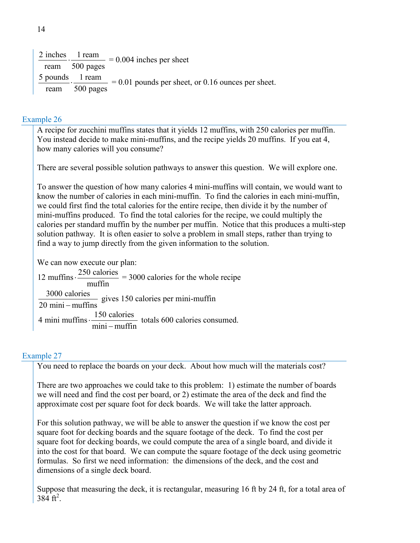$2$  inches  $\frac{\text{inches}}{\text{ream}} \cdot \frac{1 \text{ team}}{500 \text{ pages}} = 0.004 \text{ inches per sheet}$ 5 pounds 1 ream  $\frac{\text{pounds}}{\text{ream}} \cdot \frac{1 \text{ team}}{500 \text{ pages}} = 0.01 \text{ pounds per sheet, or } 0.16 \text{ ounces per sheet.}$ 

## Example 26

A recipe for zucchini muffins states that it yields 12 muffins, with 250 calories per muffin. You instead decide to make mini-muffins, and the recipe yields 20 muffins. If you eat 4, how many calories will you consume?

There are several possible solution pathways to answer this question. We will explore one.

To answer the question of how many calories 4 mini-muffins will contain, we would want to know the number of calories in each mini-muffin. To find the calories in each mini-muffin, we could first find the total calories for the entire recipe, then divide it by the number of mini-muffins produced. To find the total calories for the recipe, we could multiply the calories per standard muffin by the number per muffin. Notice that this produces a multi-step solution pathway. It is often easier to solve a problem in small steps, rather than trying to find a way to jump directly from the given information to the solution.

We can now execute our plan:

12 muffins  $\cdot \frac{250 \text{ calories}}{\text{muffin}} = 3000 \text{ calories for the whole recipe}$ 3000 calories  $\frac{2000 \text{ calories}}{20 \text{ min} - \text{multiples}}$  gives 150 calories per mini-muffin 4 mini muffins  $\frac{150 \text{ calories}}{250 \text{�}$  $\frac{150 \text{ calories}}{\text{mini}-\text{muffin}}$  totals 600 calories consumed.

#### Example 27

You need to replace the boards on your deck. About how much will the materials cost?

There are two approaches we could take to this problem: 1) estimate the number of boards we will need and find the cost per board, or 2) estimate the area of the deck and find the approximate cost per square foot for deck boards. We will take the latter approach.

For this solution pathway, we will be able to answer the question if we know the cost per square foot for decking boards and the square footage of the deck. To find the cost per square foot for decking boards, we could compute the area of a single board, and divide it into the cost for that board. We can compute the square footage of the deck using geometric formulas. So first we need information: the dimensions of the deck, and the cost and dimensions of a single deck board.

Suppose that measuring the deck, it is rectangular, measuring 16 ft by 24 ft, for a total area of  $384 \text{ ft}^2$ .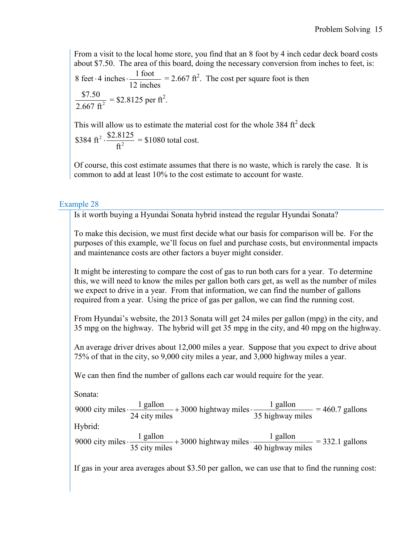From a visit to the local home store, you find that an 8 foot by 4 inch cedar deck board costs about \$7.50. The area of this board, doing the necessary conversion from inches to feet, is: 8 feet  $\cdot$  4 inches  $\cdot \frac{1 \text{ foot}}{12 \text{ inches}}$  = 2.667 ft<sup>2</sup>. The cost per square foot is then 2  $\frac{$7.50}{2.667 \text{ ft}^2} = $2.8125 \text{ per ft}^2.$ 

This will allow us to estimate the material cost for the whole  $384 \text{ ft}^2$  deck 2 \$384 ft<sup>2</sup>  $\cdot \frac{$2.8125}{ft^2} = $1080$  total cost.

Of course, this cost estimate assumes that there is no waste, which is rarely the case. It is common to add at least 10% to the cost estimate to account for waste.

# Example 28

Is it worth buying a Hyundai Sonata hybrid instead the regular Hyundai Sonata?

To make this decision, we must first decide what our basis for comparison will be. For the purposes of this example, we'll focus on fuel and purchase costs, but environmental impacts and maintenance costs are other factors a buyer might consider.

It might be interesting to compare the cost of gas to run both cars for a year. To determine this, we will need to know the miles per gallon both cars get, as well as the number of miles we expect to drive in a year. From that information, we can find the number of gallons required from a year. Using the price of gas per gallon, we can find the running cost.

From Hyundai's website, the 2013 Sonata will get 24 miles per gallon (mpg) in the city, and 35 mpg on the highway. The hybrid will get 35 mpg in the city, and 40 mpg on the highway.

An average driver drives about 12,000 miles a year. Suppose that you expect to drive about 75% of that in the city, so 9,000 city miles a year, and 3,000 highway miles a year.

We can then find the number of gallons each car would require for the year.

Sonata:

9000 city miles  $\frac{1 \text{ gallon}}{24 \text{ rad/s}} + 3000$  hightway miles  $\frac{1 \text{ gallon}}{251 \text{ rad/s}}$ 24 city miles  $\frac{35 \text{ highway miles}}{35}$  $\frac{1}{24}$  = 460.7 gallons Hybrid: 9000 city miles  $\frac{1 \text{ gallon}}{25 \times 10^{11}} + 3000$  hightway miles  $\frac{1 \text{ gallon}}{101 \times 10^{11}}$  $35$  city miles  $40$  highway miles  $\frac{1}{25}$  = 332.1 gallons

If gas in your area averages about \$3.50 per gallon, we can use that to find the running cost: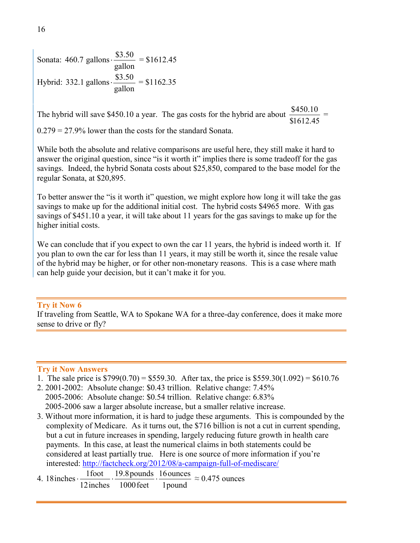Sonata:  $460.7$  gallons  $\cdot \frac{$3.50}{gallon} = $1612.45$ Hybrid: 332.1 gallons  $\cdot \frac{$3.50}{$\text{gallon}} = $1162.35$ 

The hybrid will save \$450.10 a year. The gas costs for the hybrid are about \$450.10 \$1612.45 =

0.279 = 27.9% lower than the costs for the standard Sonata.

While both the absolute and relative comparisons are useful here, they still make it hard to answer the original question, since "is it worth it" implies there is some tradeoff for the gas savings. Indeed, the hybrid Sonata costs about \$25,850, compared to the base model for the regular Sonata, at \$20,895.

To better answer the "is it worth it" question, we might explore how long it will take the gas savings to make up for the additional initial cost. The hybrid costs \$4965 more. With gas savings of \$451.10 a year, it will take about 11 years for the gas savings to make up for the higher initial costs.

We can conclude that if you expect to own the car 11 years, the hybrid is indeed worth it. If you plan to own the car for less than 11 years, it may still be worth it, since the resale value of the hybrid may be higher, or for other non-monetary reasons. This is a case where math can help guide your decision, but it can't make it for you.

## **Try it Now 6**

If traveling from Seattle, WA to Spokane WA for a three-day conference, does it make more sense to drive or fly?

#### **Try it Now Answers**

- 1. The sale price is  $$799(0.70) = $559.30$ . After tax, the price is  $$559.30(1.092) = $610.76$
- 2. 2001-2002: Absolute change: \$0.43 trillion. Relative change: 7.45% 2005-2006: Absolute change: \$0.54 trillion. Relative change: 6.83% 2005-2006 saw a larger absolute increase, but a smaller relative increase.
- 3. Without more information, it is hard to judge these arguments. This is compounded by the complexity of Medicare. As it turns out, the \$716 billion is not a cut in current spending, but a cut in future increases in spending, largely reducing future growth in health care payments. In this case, at least the numerical claims in both statements could be considered at least partially true. Here is one source of more information if you're interested:<http://factcheck.org/2012/08/a-campaign-full-of-mediscare/>
- 4.  $18$  inches  $\cdot$ 1pound 16ounces 1000feet 18 inches  $\cdot \frac{1$  foot  $\cdot \frac{19.8 \text{ pounds}}{1000 \text{ s}} \cdot \frac{16 \text{ ounces}}{1000 \text{ s}} \approx 0.475 \text{ ounces}$ 12inches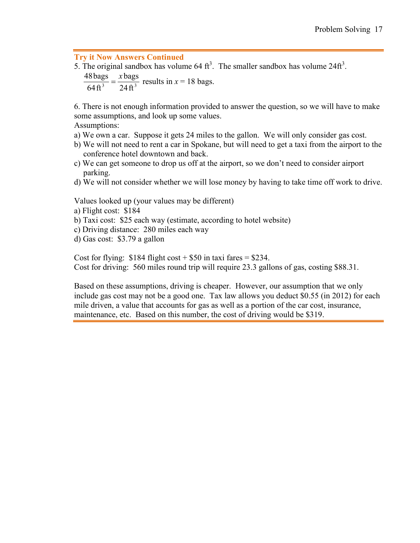#### **Try it Now Answers Continued**

5. The original sandbox has volume 64  $\text{ft}^3$ . The smaller sandbox has volume 24 $\text{ft}^3$ .  $\frac{48 \text{ bags}}{64 \text{ ft}^3} = \frac{x \text{ bags}}{24 \text{ ft}^3}$ 64ft  $\frac{48 \text{ bags}}{64.03} = \frac{x \text{ bags}}{24.03}$  results in  $x = 18$  bags.

6. There is not enough information provided to answer the question, so we will have to make some assumptions, and look up some values.

Assumptions:

- a) We own a car. Suppose it gets 24 miles to the gallon. We will only consider gas cost.
- b) We will not need to rent a car in Spokane, but will need to get a taxi from the airport to the conference hotel downtown and back.
- c) We can get someone to drop us off at the airport, so we don't need to consider airport parking.
- d) We will not consider whether we will lose money by having to take time off work to drive.

Values looked up (your values may be different)

- a) Flight cost: \$184
- b) Taxi cost: \$25 each way (estimate, according to hotel website)
- c) Driving distance: 280 miles each way
- d) Gas cost: \$3.79 a gallon

Cost for flying:  $$184$  flight cost +  $$50$  in taxi fares =  $$234$ . Cost for driving: 560 miles round trip will require 23.3 gallons of gas, costing \$88.31.

Based on these assumptions, driving is cheaper. However, our assumption that we only include gas cost may not be a good one. Tax law allows you deduct \$0.55 (in 2012) for each mile driven, a value that accounts for gas as well as a portion of the car cost, insurance, maintenance, etc. Based on this number, the cost of driving would be \$319.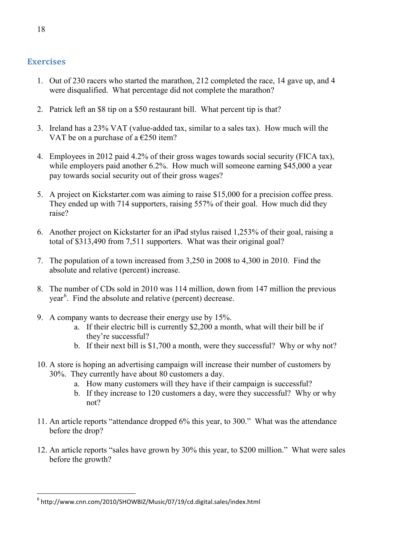# **Exercises**

- 1. Out of 230 racers who started the marathon, 212 completed the race, 14 gave up, and 4 were disqualified. What percentage did not complete the marathon?
- 2. Patrick left an \$8 tip on a \$50 restaurant bill. What percent tip is that?
- 3. Ireland has a 23% VAT (value-added tax, similar to a sales tax). How much will the VAT be on a purchase of a  $\epsilon$ 250 item?
- 4. Employees in 2012 paid 4.2% of their gross wages towards social security (FICA tax), while employers paid another 6.2%. How much will someone earning \$45,000 a year pay towards social security out of their gross wages?
- 5. A project on Kickstarter.com was aiming to raise \$15,000 for a precision coffee press. They ended up with 714 supporters, raising 557% of their goal. How much did they raise?
- 6. Another project on Kickstarter for an iPad stylus raised 1,253% of their goal, raising a total of \$313,490 from 7,511 supporters. What was their original goal?
- 7. The population of a town increased from 3,250 in 2008 to 4,300 in 2010. Find the absolute and relative (percent) increase.
- 8. The number of CDs sold in 2010 was 114 million, down from 147 million the previous year<sup>[6](#page-17-0)</sup>. Find the absolute and relative (percent) decrease.
- 9. A company wants to decrease their energy use by 15%.
	- a. If their electric bill is currently \$2,200 a month, what will their bill be if they're successful?
	- b. If their next bill is \$1,700 a month, were they successful? Why or why not?
- 10. A store is hoping an advertising campaign will increase their number of customers by 30%. They currently have about 80 customers a day.
	- a. How many customers will they have if their campaign is successful?
	- b. If they increase to 120 customers a day, were they successful? Why or why not?
- 11. An article reports "attendance dropped 6% this year, to 300." What was the attendance before the drop?
- 12. An article reports "sales have grown by 30% this year, to \$200 million." What were sales before the growth?

<span id="page-17-0"></span><sup>6</sup> http://www.cnn.com/2010/SHOWBIZ/Music/07/19/cd.digital.sales/index.html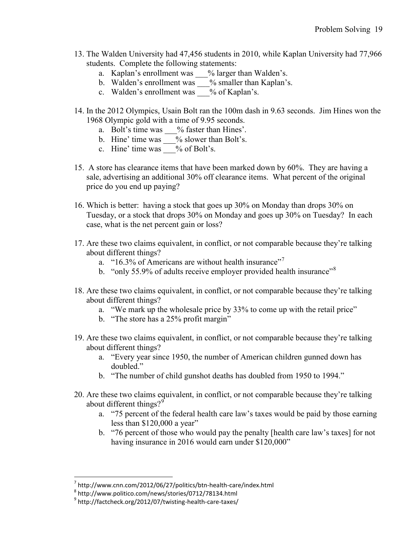- 13. The Walden University had 47,456 students in 2010, while Kaplan University had 77,966 students. Complete the following statements:
	- a. Kaplan's enrollment was \_\_\_% larger than Walden's.
	- b. Walden's enrollment was <u>section</u> % smaller than Kaplan's.
	- c. Walden's enrollment was <u>section</u> of Kaplan's.
- 14. In the 2012 Olympics, Usain Bolt ran the 100m dash in 9.63 seconds. Jim Hines won the 1968 Olympic gold with a time of 9.95 seconds.
	- a. Bolt's time was \_\_\_% faster than Hines'.
	- b. Hine' time was <u>sect</u>% slower than Bolt's.
	- c. Hine' time was  $\_\_\%$  of Bolt's.
- 15. A store has clearance items that have been marked down by 60%. They are having a sale, advertising an additional 30% off clearance items. What percent of the original price do you end up paying?
- 16. Which is better: having a stock that goes up 30% on Monday than drops 30% on Tuesday, or a stock that drops 30% on Monday and goes up 30% on Tuesday? In each case, what is the net percent gain or loss?
- 17. Are these two claims equivalent, in conflict, or not comparable because they're talking about different things?
	- a. "16.3% of Americans are without health insurance"<sup>[7](#page-18-0)</sup>
	- b. "only 55.9% of adults receive employer provided health insurance"<sup>[8](#page-18-1)</sup>
- 18. Are these two claims equivalent, in conflict, or not comparable because they're talking about different things?
	- a. "We mark up the wholesale price by 33% to come up with the retail price"
	- b. "The store has a 25% profit margin"
- 19. Are these two claims equivalent, in conflict, or not comparable because they're talking about different things?
	- a. "Every year since 1950, the number of American children gunned down has doubled."
	- b. "The number of child gunshot deaths has doubled from 1950 to 1994."
- 20. Are these two claims equivalent, in conflict, or not comparable because they're talking about different things?<sup>[9](#page-18-2)</sup>
	- a. "75 percent of the federal health care law's taxes would be paid by those earning less than \$120,000 a year"
	- b. "76 percent of those who would pay the penalty [health care law's taxes] for not having insurance in 2016 would earn under \$120,000"

<span id="page-18-0"></span> $^7$  http://www.cnn.com/2012/06/27/politics/btn-health-care/index.html 8 http://www.politico.com/news/stories/0712/78134.html

<span id="page-18-1"></span>

<span id="page-18-2"></span> $9$  http://factcheck.org/2012/07/twisting-health-care-taxes/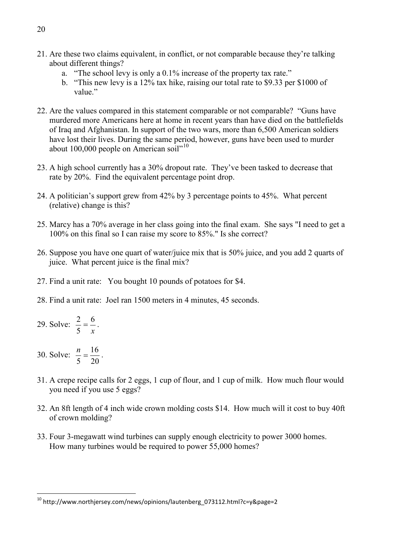- 21. Are these two claims equivalent, in conflict, or not comparable because they're talking about different things?
	- a. "The school levy is only a 0.1% increase of the property tax rate."
	- b. "This new levy is a 12% tax hike, raising our total rate to \$9.33 per \$1000 of value"
- 22. Are the values compared in this statement comparable or not comparable? "Guns have murdered more Americans here at home in recent years than have died on the battlefields of Iraq and Afghanistan. In support of the two wars, more than 6,500 American soldiers have lost their lives. During the same period, however, guns have been used to murder about [10](#page-19-0)0,000 people on American soil<sup> $n^{10}$ </sup>
- 23. A high school currently has a 30% dropout rate. They've been tasked to decrease that rate by 20%. Find the equivalent percentage point drop.
- 24. A politician's support grew from 42% by 3 percentage points to 45%. What percent (relative) change is this?
- 25. Marcy has a 70% average in her class going into the final exam. She says "I need to get a 100% on this final so I can raise my score to 85%." Is she correct?
- 26. Suppose you have one quart of water/juice mix that is 50% juice, and you add 2 quarts of juice. What percent juice is the final mix?
- 27. Find a unit rate: You bought 10 pounds of potatoes for \$4.
- 28. Find a unit rate: Joel ran 1500 meters in 4 minutes, 45 seconds.
- 29. Solve: *x* 6 5  $\frac{2}{7} = \frac{6}{7}$ .
- 30. Solve: 20  $\frac{n}{5} = \frac{16}{20}$ .
- 31. A crepe recipe calls for 2 eggs, 1 cup of flour, and 1 cup of milk. How much flour would you need if you use 5 eggs?
- 32. An 8ft length of 4 inch wide crown molding costs \$14. How much will it cost to buy 40ft of crown molding?
- 33. Four 3-megawatt wind turbines can supply enough electricity to power 3000 homes. How many turbines would be required to power 55,000 homes?

<span id="page-19-0"></span> $10$  http://www.northjersey.com/news/opinions/lautenberg\_073112.html?c=y&page=2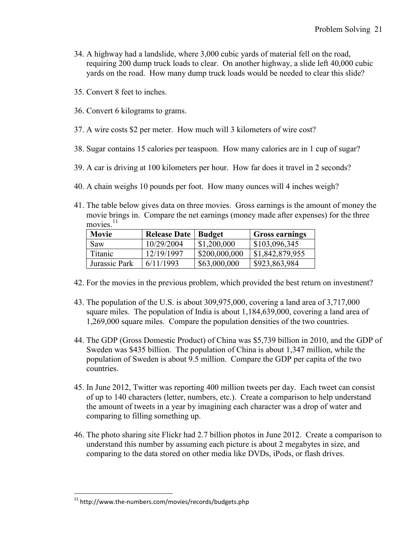- 34. A highway had a landslide, where 3,000 cubic yards of material fell on the road, requiring 200 dump truck loads to clear. On another highway, a slide left 40,000 cubic yards on the road. How many dump truck loads would be needed to clear this slide?
- 35. Convert 8 feet to inches.
- 36. Convert 6 kilograms to grams.
- 37. A wire costs \$2 per meter. How much will 3 kilometers of wire cost?
- 38. Sugar contains 15 calories per teaspoon. How many calories are in 1 cup of sugar?
- 39. A car is driving at 100 kilometers per hour. How far does it travel in 2 seconds?
- 40. A chain weighs 10 pounds per foot. How many ounces will 4 inches weigh?
- 41. The table below gives data on three movies. Gross earnings is the amount of money the movie brings in. Compare the net earnings (money made after expenses) for the three movies. $11$

| Movie          | <b>Release Date</b> | Budget        | <b>Gross earnings</b> |
|----------------|---------------------|---------------|-----------------------|
| <b>Saw</b>     | 10/29/2004          | \$1,200,000   | \$103,096,345         |
| <b>Titanic</b> | 12/19/1997          | \$200,000,000 | \$1,842,879,955       |
| Jurassic Park  | 6/11/1993           | \$63,000,000  | \$923,863,984         |

- 42. For the movies in the previous problem, which provided the best return on investment?
- 43. The population of the U.S. is about 309,975,000, covering a land area of 3,717,000 square miles. The population of India is about 1,184,639,000, covering a land area of 1,269,000 square miles. Compare the population densities of the two countries.
- 44. The GDP (Gross Domestic Product) of China was \$5,739 billion in 2010, and the GDP of Sweden was \$435 billion. The population of China is about 1,347 million, while the population of Sweden is about 9.5 million. Compare the GDP per capita of the two countries.
- 45. In June 2012, Twitter was reporting 400 million tweets per day. Each tweet can consist of up to 140 characters (letter, numbers, etc.). Create a comparison to help understand the amount of tweets in a year by imagining each character was a drop of water and comparing to filling something up.
- 46. The photo sharing site Flickr had 2.7 billion photos in June 2012. Create a comparison to understand this number by assuming each picture is about 2 megabytes in size, and comparing to the data stored on other media like DVDs, iPods, or flash drives.

<span id="page-20-0"></span> $11$  http://www.the-numbers.com/movies/records/budgets.php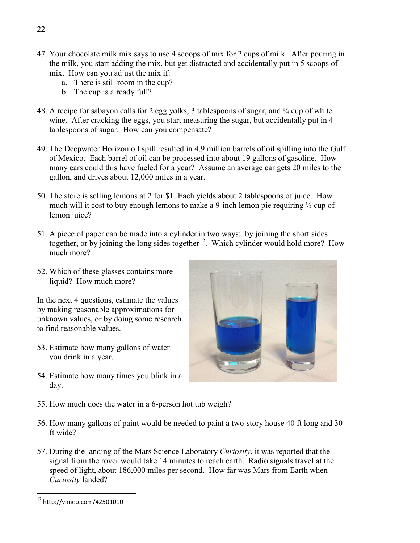- 47. Your chocolate milk mix says to use 4 scoops of mix for 2 cups of milk. After pouring in the milk, you start adding the mix, but get distracted and accidentally put in 5 scoops of mix. How can you adjust the mix if:
	- a. There is still room in the cup?
	- b. The cup is already full?
- 48. A recipe for sabayon calls for 2 egg yolks, 3 tablespoons of sugar, and ¼ cup of white wine. After cracking the eggs, you start measuring the sugar, but accidentally put in 4 tablespoons of sugar. How can you compensate?
- 49. The Deepwater Horizon oil spill resulted in 4.9 million barrels of oil spilling into the Gulf of Mexico. Each barrel of oil can be processed into about 19 gallons of gasoline. How many cars could this have fueled for a year? Assume an average car gets 20 miles to the gallon, and drives about 12,000 miles in a year.
- 50. The store is selling lemons at 2 for \$1. Each yields about 2 tablespoons of juice. How much will it cost to buy enough lemons to make a 9-inch lemon pie requiring ½ cup of lemon juice?
- 51. A piece of paper can be made into a cylinder in two ways: by joining the short sides together, or by joining the long sides together<sup>[12](#page-21-0)</sup>. Which cylinder would hold more? How much more?
- 52. Which of these glasses contains more liquid? How much more?

In the next 4 questions, estimate the values by making reasonable approximations for unknown values, or by doing some research to find reasonable values.

- 53. Estimate how many gallons of water you drink in a year.
- 54. Estimate how many times you blink in a day.
- 55. How much does the water in a 6-person hot tub weigh?
- 56. How many gallons of paint would be needed to paint a two-story house 40 ft long and 30 ft wide?
- 57. During the landing of the Mars Science Laboratory *Curiosity*, it was reported that the signal from the rover would take 14 minutes to reach earth. Radio signals travel at the speed of light, about 186,000 miles per second. How far was Mars from Earth when *Curiosity* landed?



<span id="page-21-0"></span><sup>12</sup> http://vimeo.com/42501010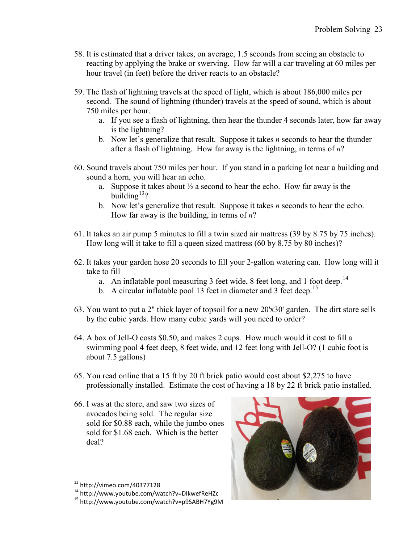- 58. It is estimated that a driver takes, on average, 1.5 seconds from seeing an obstacle to reacting by applying the brake or swerving. How far will a car traveling at 60 miles per hour travel (in feet) before the driver reacts to an obstacle?
- 59. The flash of lightning travels at the speed of light, which is about 186,000 miles per second. The sound of lightning (thunder) travels at the speed of sound, which is about 750 miles per hour.
	- a. If you see a flash of lightning, then hear the thunder 4 seconds later, how far away is the lightning?
	- b. Now let's generalize that result. Suppose it takes *n* seconds to hear the thunder after a flash of lightning. How far away is the lightning, in terms of *n*?
- 60. Sound travels about 750 miles per hour. If you stand in a parking lot near a building and sound a horn, you will hear an echo.
	- a. Suppose it takes about  $\frac{1}{2}$  a second to hear the echo. How far away is the building $13$ ?
	- b. Now let's generalize that result. Suppose it takes *n* seconds to hear the echo. How far away is the building, in terms of *n*?
- 61. It takes an air pump 5 minutes to fill a twin sized air mattress (39 by 8.75 by 75 inches). How long will it take to fill a queen sized mattress (60 by 8.75 by 80 inches)?
- 62. It takes your garden hose 20 seconds to fill your 2-gallon watering can. How long will it take to fill
	- a. An inflatable pool measuring 3 feet wide, 8 feet long, and 1 foot deep.<sup>[14](#page-22-1)</sup>
	- b. A circular inflatable pool 13 feet in diameter and 3 feet deep.<sup>[15](#page-22-2)</sup>
- 63. You want to put a 2" thick layer of topsoil for a new 20'x30' garden. The dirt store sells by the cubic yards. How many cubic yards will you need to order?
- 64. A box of Jell-O costs \$0.50, and makes 2 cups. How much would it cost to fill a swimming pool 4 feet deep, 8 feet wide, and 12 feet long with Jell-O? (1 cubic foot is about 7.5 gallons)
- 65. You read online that a 15 ft by 20 ft brick patio would cost about \$2,275 to have professionally installed. Estimate the cost of having a 18 by 22 ft brick patio installed.
- 66. I was at the store, and saw two sizes of avocados being sold. The regular size sold for \$0.88 each, while the jumbo ones sold for \$1.68 each. Which is the better deal?



<span id="page-22-2"></span><span id="page-22-1"></span><span id="page-22-0"></span><sup>&</sup>lt;sup>13</sup> http://vimeo.com/40377128<br><sup>14</sup> http://www.youtube.com/watch?v=DIkwefReHZc<br><sup>15</sup> http://www.youtube.com/watch?v=p9SABH7Yg9M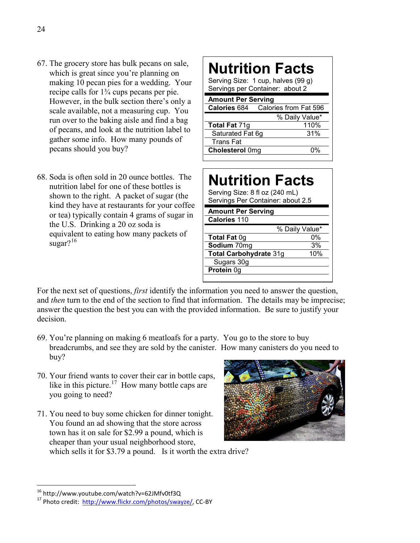- 67. The grocery store has bulk pecans on sale, which is great since you're planning on making 10 pecan pies for a wedding. Your recipe calls for 1¾ cups pecans per pie. However, in the bulk section there's only a scale available, not a measuring cup. You run over to the baking aisle and find a bag of pecans, and look at the nutrition label to gather some info. How many pounds of pecans should you buy?
- 68. Soda is often sold in 20 ounce bottles. The nutrition label for one of these bottles is shown to the right. A packet of sugar (the kind they have at restaurants for your coffee or tea) typically contain 4 grams of sugar in the U.S. Drinking a 20 oz soda is equivalent to eating how many packets of sugar? $16$

# **Nutrition Facts**

Serving Size: 1 cup, halves (99 g) Servings per Container: about 2

| <b>Amount Per Serving</b> |                                           |  |  |  |  |
|---------------------------|-------------------------------------------|--|--|--|--|
|                           | <b>Calories 684</b> Calories from Fat 596 |  |  |  |  |
|                           | % Daily Value*                            |  |  |  |  |
| Total Fat 71g             | 110%                                      |  |  |  |  |
| Saturated Fat 6g          | 31%                                       |  |  |  |  |
| <b>Trans Fat</b>          |                                           |  |  |  |  |
| <b>Cholesterol Omg</b>    | በ‰                                        |  |  |  |  |
|                           |                                           |  |  |  |  |

# **Nutrition Facts**

Serving Size: 8 fl oz (240 mL) Servings Per Container: about 2.5

| <b>Amount Per Serving</b> |                |
|---------------------------|----------------|
| Calories 110              |                |
|                           | % Daily Value* |
| <b>Total Fat 0g</b>       | 0%             |
| Sodium 70mg               | 3%             |
| Total Carbohydrate 31g    | 10%            |
| Sugars 30g                |                |

For the next set of questions, *first* identify the information you need to answer the question, and *then* turn to the end of the section to find that information. The details may be imprecise; answer the question the best you can with the provided information. Be sure to justify your decision.

**Protein** 0g

- 69. You're planning on making 6 meatloafs for a party. You go to the store to buy breadcrumbs, and see they are sold by the canister. How many canisters do you need to buy?
- 70. Your friend wants to cover their car in bottle caps, like in this picture.<sup>17</sup> How many bottle caps are you going to need?
- 71. You need to buy some chicken for dinner tonight. You found an ad showing that the store across town has it on sale for \$2.99 a pound, which is cheaper than your usual neighborhood store, which sells it for \$3.79 a pound. Is it worth the extra drive?



<span id="page-23-1"></span><span id="page-23-0"></span>

<sup>&</sup>lt;sup>16</sup> http://www.youtube.com/watch?v=62JMfv0tf3Q<br><sup>17</sup> Photo credit: [http://www.flickr.com/photos/swayze/,](http://www.flickr.com/photos/swayze/) CC-BY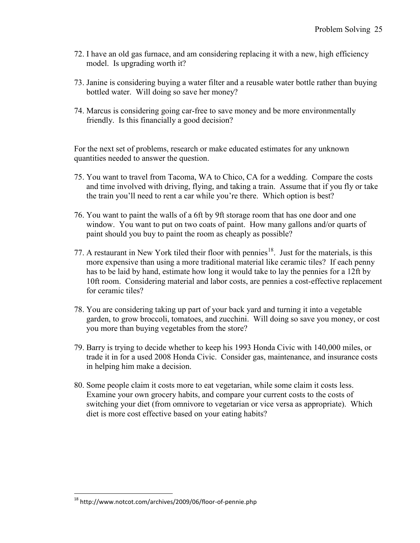- 72. I have an old gas furnace, and am considering replacing it with a new, high efficiency model. Is upgrading worth it?
- 73. Janine is considering buying a water filter and a reusable water bottle rather than buying bottled water. Will doing so save her money?
- 74. Marcus is considering going car-free to save money and be more environmentally friendly. Is this financially a good decision?

For the next set of problems, research or make educated estimates for any unknown quantities needed to answer the question.

- 75. You want to travel from Tacoma, WA to Chico, CA for a wedding. Compare the costs and time involved with driving, flying, and taking a train. Assume that if you fly or take the train you'll need to rent a car while you're there. Which option is best?
- 76. You want to paint the walls of a 6ft by 9ft storage room that has one door and one window. You want to put on two coats of paint. How many gallons and/or quarts of paint should you buy to paint the room as cheaply as possible?
- 77. A restaurant in New York tiled their floor with pennies<sup>[18](#page-24-0)</sup>. Just for the materials, is this more expensive than using a more traditional material like ceramic tiles? If each penny has to be laid by hand, estimate how long it would take to lay the pennies for a 12ft by 10ft room. Considering material and labor costs, are pennies a cost-effective replacement for ceramic tiles?
- 78. You are considering taking up part of your back yard and turning it into a vegetable garden, to grow broccoli, tomatoes, and zucchini. Will doing so save you money, or cost you more than buying vegetables from the store?
- 79. Barry is trying to decide whether to keep his 1993 Honda Civic with 140,000 miles, or trade it in for a used 2008 Honda Civic. Consider gas, maintenance, and insurance costs in helping him make a decision.
- 80. Some people claim it costs more to eat vegetarian, while some claim it costs less. Examine your own grocery habits, and compare your current costs to the costs of switching your diet (from omnivore to vegetarian or vice versa as appropriate). Which diet is more cost effective based on your eating habits?

<span id="page-24-0"></span><sup>18</sup> http://www.notcot.com/archives/2009/06/floor-of-pennie.php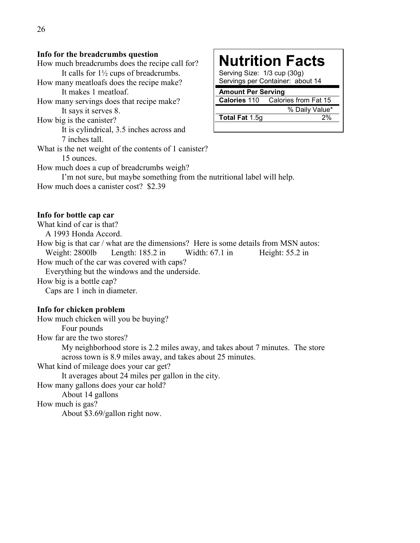#### **Info for the breadcrumbs question**

How much does a canister cost? \$2.39

How much breadcrumbs does the recipe call for? It calls for 1½ cups of breadcrumbs. How many meatloafs does the recipe make? It makes 1 meatloaf. How many servings does that recipe make? It says it serves 8. How big is the canister? It is cylindrical, 3.5 inches across and 7 inches tall. What is the net weight of the contents of 1 canister? 15 ounces. How much does a cup of breadcrumbs weigh? I'm not sure, but maybe something from the nutritional label will help.

# **Nutrition Facts**

Serving Size: 1/3 cup (30g) Servings per Container: about 14

## **Amount Per Serving**

**Calories** 110 Calories from Fat 15 % Daily Value\* Total Fat 1.5g 2%

#### **Info for bottle cap car**

What kind of car is that? A 1993 Honda Accord. How big is that car / what are the dimensions? Here is some details from MSN autos: Weight: 2800lb Length: 185.2 in Width: 67.1 in Height: 55.2 in How much of the car was covered with caps? Everything but the windows and the underside.

How big is a bottle cap?

Caps are 1 inch in diameter.

#### **Info for chicken problem**

How much chicken will you be buying? Four pounds How far are the two stores? My neighborhood store is 2.2 miles away, and takes about 7 minutes. The store across town is 8.9 miles away, and takes about 25 minutes. What kind of mileage does your car get? It averages about 24 miles per gallon in the city. How many gallons does your car hold? About 14 gallons

How much is gas?

About \$3.69/gallon right now.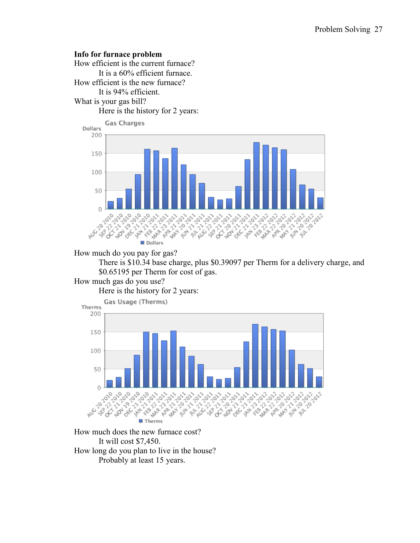#### **Info for furnace problem**

How efficient is the current furnace? It is a 60% efficient furnace. How efficient is the new furnace? It is 94% efficient. What is your gas bill? Here is the history for 2 years:



How much do you pay for gas?

There is \$10.34 base charge, plus \$0.39097 per Therm for a delivery charge, and \$0.65195 per Therm for cost of gas.

## How much gas do you use?

Here is the history for 2 years:



How much does the new furnace cost? It will cost \$7,450. How long do you plan to live in the house? Probably at least 15 years.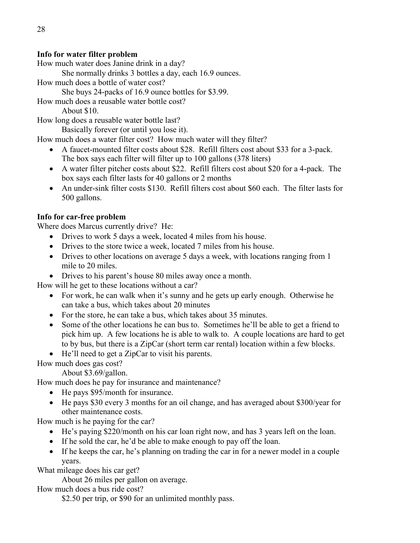# **Info for water filter problem**

How much water does Janine drink in a day?

She normally drinks 3 bottles a day, each 16.9 ounces.

How much does a bottle of water cost?

She buys 24-packs of 16.9 ounce bottles for \$3.99.

How much does a reusable water bottle cost?

About \$10.

How long does a reusable water bottle last?

Basically forever (or until you lose it).

How much does a water filter cost? How much water will they filter?

- A faucet-mounted filter costs about \$28. Refill filters cost about \$33 for a 3-pack. The box says each filter will filter up to 100 gallons (378 liters)
- A water filter pitcher costs about \$22. Refill filters cost about \$20 for a 4-pack. The box says each filter lasts for 40 gallons or 2 months
- An under-sink filter costs \$130. Refill filters cost about \$60 each. The filter lasts for 500 gallons.

# **Info for car-free problem**

Where does Marcus currently drive? He:

- Drives to work 5 days a week, located 4 miles from his house.
- Drives to the store twice a week, located 7 miles from his house.
- Drives to other locations on average 5 days a week, with locations ranging from 1 mile to 20 miles.
- Drives to his parent's house 80 miles away once a month.

How will he get to these locations without a car?

- For work, he can walk when it's sunny and he gets up early enough. Otherwise he can take a bus, which takes about 20 minutes
- For the store, he can take a bus, which takes about 35 minutes.
- Some of the other locations he can bus to. Sometimes he'll be able to get a friend to pick him up. A few locations he is able to walk to. A couple locations are hard to get to by bus, but there is a ZipCar (short term car rental) location within a few blocks.
- He'll need to get a ZipCar to visit his parents.

How much does gas cost?

About \$3.69/gallon.

How much does he pay for insurance and maintenance?

- He pays \$95/month for insurance.
- He pays \$30 every 3 months for an oil change, and has averaged about \$300/year for other maintenance costs.

How much is he paying for the car?

- He's paying \$220/month on his car loan right now, and has 3 years left on the loan.
- If he sold the car, he'd be able to make enough to pay off the loan.
- If he keeps the car, he's planning on trading the car in for a newer model in a couple years.

What mileage does his car get?

About 26 miles per gallon on average.

How much does a bus ride cost?

\$2.50 per trip, or \$90 for an unlimited monthly pass.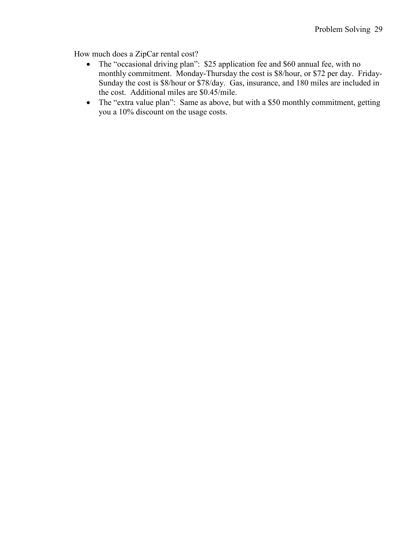How much does a ZipCar rental cost?

- The "occasional driving plan": \$25 application fee and \$60 annual fee, with no monthly commitment. Monday-Thursday the cost is \$8/hour, or \$72 per day. Friday-Sunday the cost is \$8/hour or \$78/day. Gas, insurance, and 180 miles are included in the cost. Additional miles are \$0.45/mile.
- The "extra value plan": Same as above, but with a \$50 monthly commitment, getting you a 10% discount on the usage costs.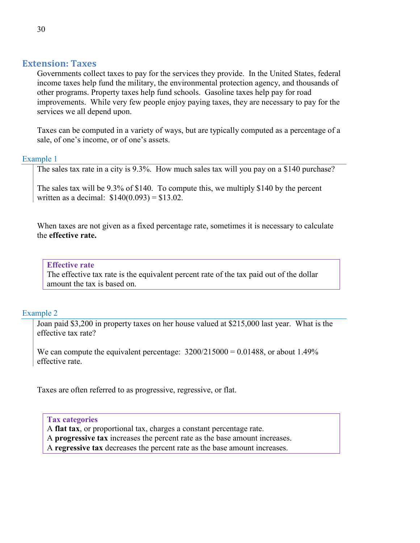## **Extension: Taxes**

Governments collect taxes to pay for the services they provide. In the United States, federal income taxes help fund the military, the environmental protection agency, and thousands of other programs. Property taxes help fund schools. Gasoline taxes help pay for road improvements. While very few people enjoy paying taxes, they are necessary to pay for the services we all depend upon.

Taxes can be computed in a variety of ways, but are typically computed as a percentage of a sale, of one's income, or of one's assets.

## Example 1

The sales tax rate in a city is 9.3%. How much sales tax will you pay on a \$140 purchase?

The sales tax will be 9.3% of \$140. To compute this, we multiply \$140 by the percent written as a decimal:  $$140(0.093) = $13.02$ .

When taxes are not given as a fixed percentage rate, sometimes it is necessary to calculate the **effective rate.**

#### **Effective rate**

The effective tax rate is the equivalent percent rate of the tax paid out of the dollar amount the tax is based on.

# Example 2

Joan paid \$3,200 in property taxes on her house valued at \$215,000 last year. What is the effective tax rate?

We can compute the equivalent percentage:  $3200/215000 = 0.01488$ , or about 1.49% effective rate.

Taxes are often referred to as progressive, regressive, or flat.

#### **Tax categories**

A **flat tax**, or proportional tax, charges a constant percentage rate.

A **progressive tax** increases the percent rate as the base amount increases.

A **regressive tax** decreases the percent rate as the base amount increases.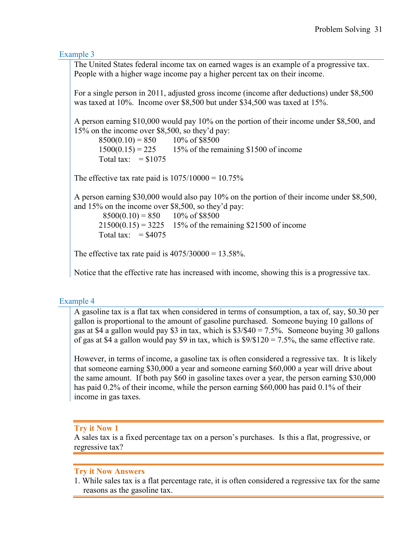Example 3

The United States federal income tax on earned wages is an example of a progressive tax. People with a higher wage income pay a higher percent tax on their income.

For a single person in 2011, adjusted gross income (income after deductions) under \$8,500 was taxed at 10%. Income over \$8,500 but under \$34,500 was taxed at 15%.

A person earning \$10,000 would pay 10% on the portion of their income under \$8,500, and 15% on the income over \$8,500, so they'd pay:

 $8500(0.10) = 850$  10% of \$8500  $1500(0.15) = 225$  15% of the remaining \$1500 of income Total tax:  $=$  \$1075

The effective tax rate paid is  $1075/10000 = 10.75\%$ 

A person earning \$30,000 would also pay 10% on the portion of their income under \$8,500, and 15% on the income over \$8,500, so they'd pay:

 $8500(0.10) = 850$  10% of \$8500  $21500(0.15) = 3225$  15% of the remaining \$21500 of income Total tax:  $= $4075$ 

The effective tax rate paid is  $4075/30000 = 13.58\%$ .

Notice that the effective rate has increased with income, showing this is a progressive tax.

#### Example 4

A gasoline tax is a flat tax when considered in terms of consumption, a tax of, say, \$0.30 per gallon is proportional to the amount of gasoline purchased. Someone buying 10 gallons of gas at \$4 a gallon would pay \$3 in tax, which is \$3/\$40 = 7.5%. Someone buying 30 gallons of gas at \$4 a gallon would pay \$9 in tax, which is  $\frac{9}{\$120} = 7.5\%$ , the same effective rate.

However, in terms of income, a gasoline tax is often considered a regressive tax. It is likely that someone earning \$30,000 a year and someone earning \$60,000 a year will drive about the same amount. If both pay \$60 in gasoline taxes over a year, the person earning \$30,000 has paid 0.2% of their income, while the person earning \$60,000 has paid 0.1% of their income in gas taxes.

# **Try it Now 1**

A sales tax is a fixed percentage tax on a person's purchases. Is this a flat, progressive, or regressive tax?

#### **Try it Now Answers**

1. While sales tax is a flat percentage rate, it is often considered a regressive tax for the same reasons as the gasoline tax.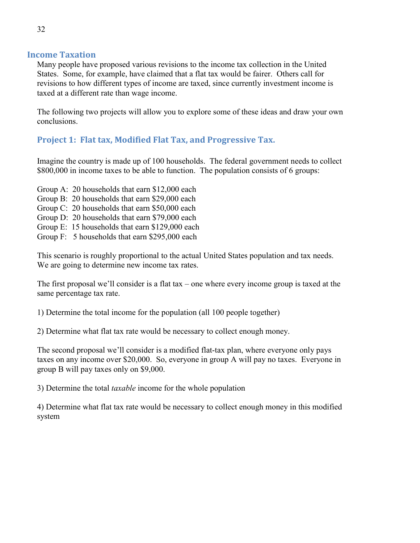## **Income Taxation**

Many people have proposed various revisions to the income tax collection in the United States. Some, for example, have claimed that a flat tax would be fairer. Others call for revisions to how different types of income are taxed, since currently investment income is taxed at a different rate than wage income.

The following two projects will allow you to explore some of these ideas and draw your own conclusions.

# **Project 1: Flat tax, Modified Flat Tax, and Progressive Tax.**

Imagine the country is made up of 100 households. The federal government needs to collect \$800,000 in income taxes to be able to function. The population consists of 6 groups:

- Group A: 20 households that earn \$12,000 each
- Group B: 20 households that earn \$29,000 each
- Group C: 20 households that earn \$50,000 each
- Group D: 20 households that earn \$79,000 each
- Group E: 15 households that earn \$129,000 each
- Group F: 5 households that earn \$295,000 each

This scenario is roughly proportional to the actual United States population and tax needs. We are going to determine new income tax rates.

The first proposal we'll consider is a flat tax – one where every income group is taxed at the same percentage tax rate.

1) Determine the total income for the population (all 100 people together)

2) Determine what flat tax rate would be necessary to collect enough money.

The second proposal we'll consider is a modified flat-tax plan, where everyone only pays taxes on any income over \$20,000. So, everyone in group A will pay no taxes. Everyone in group B will pay taxes only on \$9,000.

3) Determine the total *taxable* income for the whole population

4) Determine what flat tax rate would be necessary to collect enough money in this modified system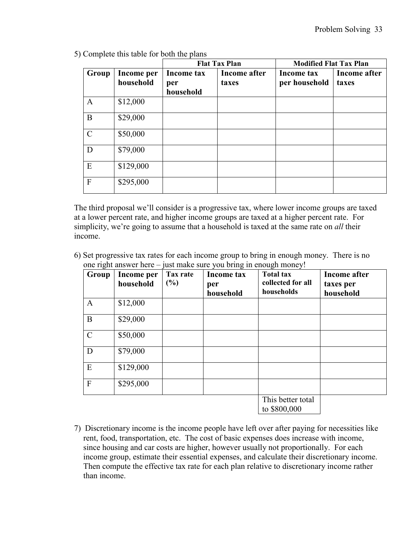|               |                         | <b>Flat Tax Plan</b>           |                       | <b>Modified Flat Tax Plan</b> |                       |
|---------------|-------------------------|--------------------------------|-----------------------|-------------------------------|-----------------------|
| Group         | Income per<br>household | Income tax<br>per<br>household | Income after<br>taxes | Income tax<br>per household   | Income after<br>taxes |
| $\mathbf{A}$  | \$12,000                |                                |                       |                               |                       |
| B             | \$29,000                |                                |                       |                               |                       |
| $\mathcal{C}$ | \$50,000                |                                |                       |                               |                       |
| D             | \$79,000                |                                |                       |                               |                       |
| E             | \$129,000               |                                |                       |                               |                       |
| $\mathbf{F}$  | \$295,000               |                                |                       |                               |                       |

5) Complete this table for both the plans

The third proposal we'll consider is a progressive tax, where lower income groups are taxed at a lower percent rate, and higher income groups are taxed at a higher percent rate. For simplicity, we're going to assume that a household is taxed at the same rate on *all* their income.

6) Set progressive tax rates for each income group to bring in enough money. There is no one right answer here – just make sure you bring in enough money!

| $\tilde{\phantom{a}}$<br>Group | Income per<br>household | Tax rate<br>(%) | <b>Income tax</b><br>per<br>household | <b>Total tax</b><br>collected for all<br>households | <b>Income after</b><br>taxes per<br>household |
|--------------------------------|-------------------------|-----------------|---------------------------------------|-----------------------------------------------------|-----------------------------------------------|
| $\mathbf{A}$                   | \$12,000                |                 |                                       |                                                     |                                               |
| B                              | \$29,000                |                 |                                       |                                                     |                                               |
| $\mathcal{C}$                  | \$50,000                |                 |                                       |                                                     |                                               |
| D                              | \$79,000                |                 |                                       |                                                     |                                               |
| E                              | \$129,000               |                 |                                       |                                                     |                                               |
| $\mathbf{F}$                   | \$295,000               |                 |                                       |                                                     |                                               |
|                                |                         |                 |                                       | This better total<br>to \$800,000                   |                                               |

7) Discretionary income is the income people have left over after paying for necessities like rent, food, transportation, etc. The cost of basic expenses does increase with income, since housing and car costs are higher, however usually not proportionally. For each income group, estimate their essential expenses, and calculate their discretionary income. Then compute the effective tax rate for each plan relative to discretionary income rather than income.